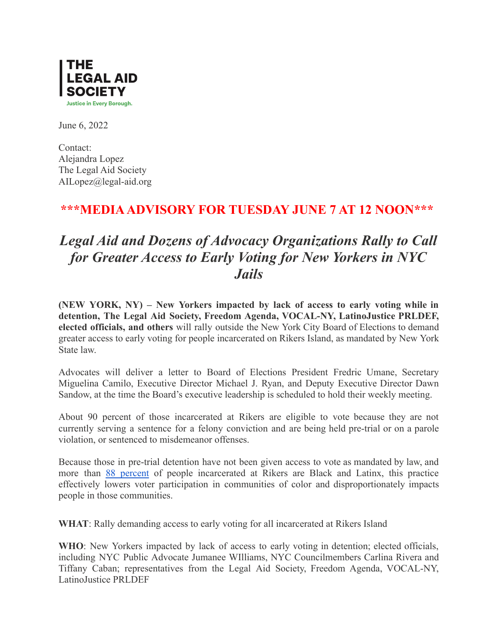

June 6, 2022

Contact: Alejandra Lopez The Legal Aid Society AILopez@legal-aid.org

## **\*\*\*MEDIAADVISORY FOR TUESDAY JUNE 7 AT 12 NOON\*\*\***

## *Legal Aid and Dozens of Advocacy Organizations Rally to Call for Greater Access to Early Voting for New Yorkers in NYC Jails*

**(NEW YORK, NY) – New Yorkers impacted by lack of access to early voting while in detention, The Legal Aid Society, Freedom Agenda, VOCAL-NY, LatinoJustice PRLDEF, elected officials, and others** will rally outside the New York City Board of Elections to demand greater access to early voting for people incarcerated on Rikers Island, as mandated by New York State law.

Advocates will deliver a letter to Board of Elections President Fredric Umane, Secretary Miguelina Camilo, Executive Director Michael J. Ryan, and Deputy Executive Director Dawn Sandow, at the time the Board's executive leadership is scheduled to hold their weekly meeting.

About 90 percent of those incarcerated at Rikers are eligible to vote because they are not currently serving a sentence for a felony conviction and are being held pre-trial or on a parole violation, or sentenced to misdemeanor offenses.

Because those in pre-trial detention have not been given access to vote as mandated by law, and more than 88 [percent](https://data.cityofnewyork.us/Public-Safety/Daily-Inmates-In-Custody/7479-ugqb) of people incarcerated at Rikers are Black and Latinx, this practice effectively lowers voter participation in communities of color and disproportionately impacts people in those communities.

**WHAT**: Rally demanding access to early voting for all incarcerated at Rikers Island

**WHO**: New Yorkers impacted by lack of access to early voting in detention; elected officials, including NYC Public Advocate Jumanee WIlliams, NYC Councilmembers Carlina Rivera and Tiffany Caban; representatives from the Legal Aid Society, Freedom Agenda, VOCAL-NY, LatinoJustice PRLDEF